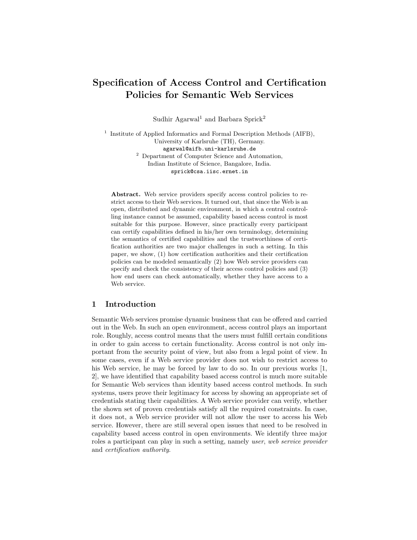# Specification of Access Control and Certification Policies for Semantic Web Services

Sudhir Agarwal<sup>1</sup> and Barbara Sprick<sup>2</sup>

<sup>1</sup> Institute of Applied Informatics and Formal Description Methods (AIFB), University of Karlsruhe (TH), Germany. agarwal@aifb.uni-karlsruhe.de <sup>2</sup> Department of Computer Science and Automation, Indian Institute of Science, Bangalore, India. sprick@csa.iisc.ernet.in

Abstract. Web service providers specify access control policies to restrict access to their Web services. It turned out, that since the Web is an open, distributed and dynamic environment, in which a central controlling instance cannot be assumed, capability based access control is most suitable for this purpose. However, since practically every participant can certify capabilities defined in his/her own terminology, determining the semantics of certified capabilities and the trustworthiness of certification authorities are two major challenges in such a setting. In this paper, we show, (1) how certification authorities and their certification policies can be modeled semantically (2) how Web service providers can specify and check the consistency of their access control policies and (3) how end users can check automatically, whether they have access to a Web service.

## 1 Introduction

Semantic Web services promise dynamic business that can be offered and carried out in the Web. In such an open environment, access control plays an important role. Roughly, access control means that the users must fulfill certain conditions in order to gain access to certain functionality. Access control is not only important from the security point of view, but also from a legal point of view. In some cases, even if a Web service provider does not wish to restrict access to his Web service, he may be forced by law to do so. In our previous works [1, 2], we have identified that capability based access control is much more suitable for Semantic Web services than identity based access control methods. In such systems, users prove their legitimacy for access by showing an appropriate set of credentials stating their capabilities. A Web service provider can verify, whether the shown set of proven credentials satisfy all the required constraints. In case, it does not, a Web service provider will not allow the user to access his Web service. However, there are still several open issues that need to be resolved in capability based access control in open environments. We identify three major roles a participant can play in such a setting, namely user, web service provider and certification authority.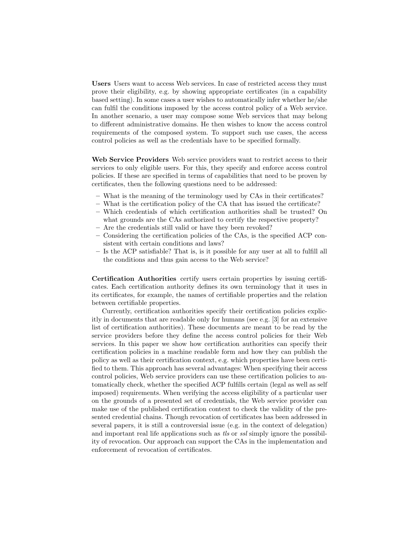Users Users want to access Web services. In case of restricted access they must prove their eligibility, e.g. by showing appropriate certificates (in a capability based setting). In some cases a user wishes to automatically infer whether he/she can fulfil the conditions imposed by the access control policy of a Web service. In another scenario, a user may compose some Web services that may belong to different administrative domains. He then wishes to know the access control requirements of the composed system. To support such use cases, the access control policies as well as the credentials have to be specified formally.

Web Service Providers Web service providers want to restrict access to their services to only eligible users. For this, they specify and enforce access control policies. If these are specified in terms of capabilities that need to be proven by certificates, then the following questions need to be addressed:

- What is the meaning of the terminology used by CAs in their certificates?
- What is the certification policy of the CA that has issued the certificate?
- Which credentials of which certification authorities shall be trusted? On what grounds are the CAs authorized to certify the respective property?
- Are the credentials still valid or have they been revoked?
- Considering the certification policies of the CAs, is the specified ACP consistent with certain conditions and laws?
- Is the ACP satisfiable? That is, is it possible for any user at all to fulfill all the conditions and thus gain access to the Web service?

Certification Authorities certify users certain properties by issuing certificates. Each certification authority defines its own terminology that it uses in its certificates, for example, the names of certifiable properties and the relation between certifiable properties.

Currently, certification authorities specify their certification policies explicitly in documents that are readable only for humans (see e.g. [3] for an extensive list of certification authorities). These documents are meant to be read by the service providers before they define the access control policies for their Web services. In this paper we show how certification authorities can specify their certification policies in a machine readable form and how they can publish the policy as well as their certification context, e.g. which properties have been certified to them. This approach has several advantages: When specifying their access control policies, Web service providers can use these certification policies to automatically check, whether the specified ACP fulfills certain (legal as well as self imposed) requirements. When verifying the access eligibility of a particular user on the grounds of a presented set of credentials, the Web service provider can make use of the published certification context to check the validity of the presented credential chains. Though revocation of certificates has been addressed in several papers, it is still a controversial issue (e.g. in the context of delegation) and important real life applications such as tls or ssl simply ignore the possibility of revocation. Our approach can support the CAs in the implementation and enforcement of revocation of certificates.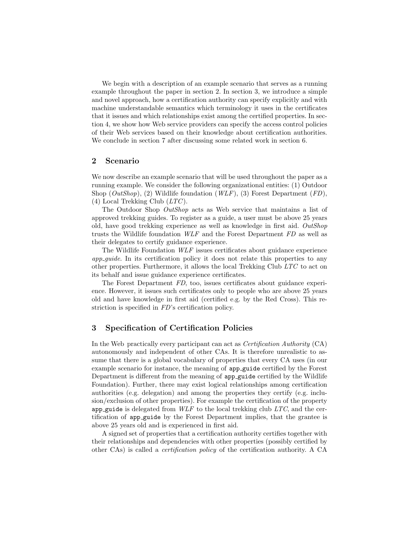We begin with a description of an example scenario that serves as a running example throughout the paper in section 2. In section 3, we introduce a simple and novel approach, how a certification authority can specify explicitly and with machine understandable semantics which terminology it uses in the certificates that it issues and which relationships exist among the certified properties. In section 4, we show how Web service providers can specify the access control policies of their Web services based on their knowledge about certification authorities. We conclude in section 7 after discussing some related work in section 6.

## 2 Scenario

We now describe an example scenario that will be used throughout the paper as a running example. We consider the following organizational entities: (1) Outdoor Shop  $(OutShop)$ , (2) Wildlife foundation (*WLF*), (3) Forest Department (*FD*), (4) Local Trekking Club  $(LTC)$ .

The Outdoor Shop *OutShop* acts as Web service that maintains a list of approved trekking guides. To register as a guide, a user must be above 25 years old, have good trekking experience as well as knowledge in first aid. OutShop trusts the Wildlife foundation WLF and the Forest Department FD as well as their delegates to certify guidance experience.

The Wildlife Foundation WLF issues certificates about guidance experience app<sub>-guide</sub>. In its certification policy it does not relate this properties to any other properties. Furthermore, it allows the local Trekking Club LTC to act on its behalf and issue guidance experience certificates.

The Forest Department FD, too, issues certificates about guidance experience. However, it issues such certificates only to people who are above 25 years old and have knowledge in first aid (certified e.g. by the Red Cross). This restriction is specified in FD's certification policy.

## 3 Specification of Certification Policies

In the Web practically every participant can act as Certification Authority (CA) autonomously and independent of other CAs. It is therefore unrealistic to assume that there is a global vocabulary of properties that every CA uses (in our example scenario for instance, the meaning of app guide certified by the Forest Department is different from the meaning of app guide certified by the Wildlife Foundation). Further, there may exist logical relationships among certification authorities (e.g. delegation) and among the properties they certify (e.g. inclusion/exclusion of other properties). For example the certification of the property app guide is delegated from  $WLF$  to the local trekking club  $LTC$ , and the certification of app guide by the Forest Department implies, that the grantee is above 25 years old and is experienced in first aid.

A signed set of properties that a certification authority certifies together with their relationships and dependencies with other properties (possibly certified by other CAs) is called a certification policy of the certification authority. A CA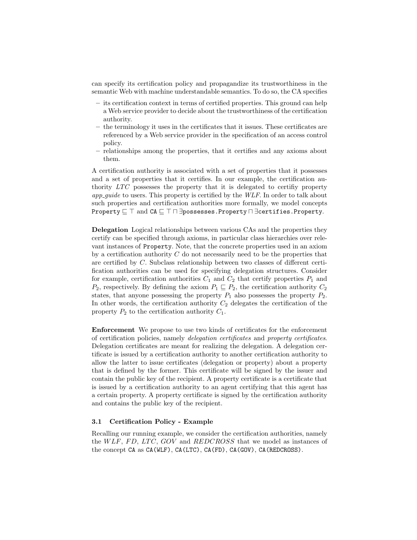can specify its certification policy and propagandize its trustworthiness in the semantic Web with machine understandable semantics. To do so, the CA specifies

- its certification context in terms of certified properties. This ground can help a Web service provider to decide about the trustworthiness of the certification authority.
- the terminology it uses in the certificates that it issues. These certificates are referenced by a Web service provider in the specification of an access control policy.
- relationships among the properties, that it certifies and any axioms about them.

A certification authority is associated with a set of properties that it possesses and a set of properties that it certifies. In our example, the certification authority LTC possesses the property that it is delegated to certifiy property app<sub>-guide</sub> to users. This property is certified by the WLF. In order to talk about such properties and certification authorities more formally, we model concepts Property  $\sqsubseteq \top$  and CA  $\sqsubseteq \top \sqcap \exists$ possesses.Property  $\sqcap \exists$ certifies.Property.

Delegation Logical relationships between various CAs and the properties they certify can be specified through axioms, in particular class hierarchies over relevant instances of Property. Note, that the concrete properties used in an axiom by a certification authority  $C$  do not necessarily need to be the properties that are certified by C. Subclass relationship between two classes of different certification authorities can be used for specifying delegation structures. Consider for example, certification authorities  $C_1$  and  $C_2$  that certify properties  $P_1$  and  $P_2$ , respectively. By defining the axiom  $P_1 \subseteq P_2$ , the certification authority  $C_2$ states, that anyone possessing the property  $P_1$  also possesses the property  $P_2$ . In other words, the certification authority  $C_2$  delegates the certification of the property  $P_2$  to the certification authority  $C_1$ .

Enforcement We propose to use two kinds of certificates for the enforcement of certification policies, namely delegation certificates and property certificates. Delegation certificates are meant for realizing the delegation. A delegation certificate is issued by a certification authority to another certification authority to allow the latter to issue certificates (delegation or property) about a property that is defined by the former. This certificate will be signed by the issuer and contain the public key of the recipient. A property certificate is a certificate that is issued by a certification authority to an agent certifying that this agent has a certain property. A property certificate is signed by the certification authority and contains the public key of the recipient.

#### 3.1 Certification Policy - Example

Recalling our running example, we consider the certification authorities, namely the WLF, FD, LTC, GOV and REDCROSS that we model as instances of the concept CA as CA(WLF), CA(LTC), CA(FD), CA(GOV), CA(REDCROSS).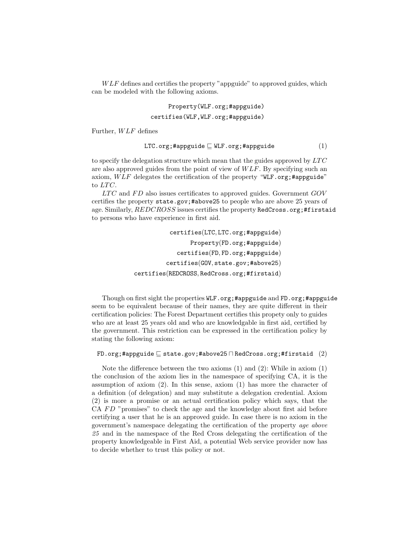WLF defines and certifies the property "appguide" to approved guides, which can be modeled with the following axioms.

> Property(WLF.org;#appguide) certifies(WLF,WLF.org;#appguide)

Further,  $WLF$  defines

#### LTC.org;#appguide  $\sqsubseteq$  WLF.org;#appguide (1)

to specify the delegation structure which mean that the guides approved by  $LTC$ are also approved guides from the point of view of  $WLF$ . By specifying such an axiom,  $WLF$  delegates the certification of the property "WLF.org;#appguide" to LTC.

 $LTC$  and  $FD$  also issues certificates to approved guides. Government  $GOV$ certifies the property state.gov;#above25 to people who are above 25 years of age. Similarly, REDCROSS issues certifies the property RedCross.org;#firstaid to persons who have experience in first aid.

> certifies(LTC, LTC.org;#appguide) Property(FD.org;#appguide) certifies(FD, FD.org;#appguide) certifies(GOV, state.gov;#above25) certifies(REDCROSS, RedCross.org;#firstaid)

Though on first sight the properties WLF.org;#appguide and FD.org;#appguide seem to be equivalent because of their names, they are quite different in their certification policies: The Forest Department certifies this propety only to guides who are at least 25 years old and who are knowledgable in first aid, certified by the government. This restriction can be expressed in the certification policy by stating the following axiom:

### FD.org;#appguide  $\sqsubseteq$  state.gov;#above25  $\sqcap$  RedCross.org;#firstaid (2)

Note the difference between the two axioms (1) and (2): While in axiom (1) the conclusion of the axiom lies in the namespace of specifying CA, it is the assumption of axiom (2). In this sense, axiom (1) has more the character of a definition (of delegation) and may substitute a delegation credential. Axiom (2) is more a promise or an actual certification policy which says, that the CA  $FD$  "promises" to check the age and the knowledge about first aid before certifying a user that he is an approved guide. In case there is no axiom in the government's namespace delegating the certification of the property age above 25 and in the namespace of the Red Cross delegating the certification of the property knowledgeable in First Aid, a potential Web service provider now has to decide whether to trust this policy or not.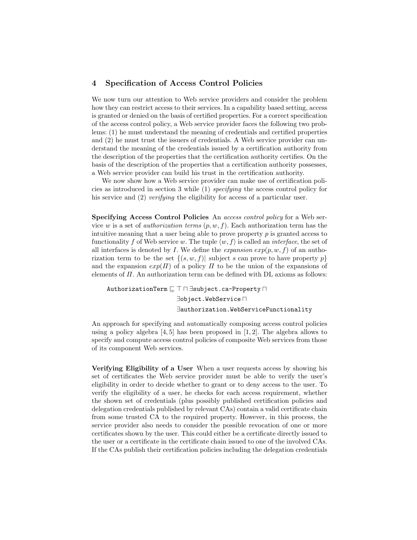## 4 Specification of Access Control Policies

We now turn our attention to Web service providers and consider the problem how they can restrict access to their services. In a capability based setting, access is granted or denied on the basis of certified properties. For a correct specification of the access control policy, a Web service provider faces the following two problems: (1) he must understand the meaning of credentials and certified properties and (2) he must trust the issuers of credentials. A Web service provider can understand the meaning of the credentials issued by a certification authority from the description of the properties that the certification authority certifies. On the basis of the description of the properties that a certification authority possesses, a Web service provider can build his trust in the certification authority.

We now show how a Web service provider can make use of certification policies as introduced in section 3 while (1) specifying the access control policy for his service and (2) *verifying* the eligibility for access of a particular user.

Specifying Access Control Policies An access control policy for a Web service w is a set of *authorization terms*  $(p, w, f)$ . Each authorization term has the intuitive meaning that a user being able to prove property  $p$  is granted access to functionality f of Web service w. The tuple  $\langle w, f \rangle$  is called an *interface*, the set of all interfaces is denoted by I. We define the *expansion*  $exp(p, w, f)$  of an authorization term to be the set  $\{(s, w, f) |$  subject s can prove to have property  $p\}$ and the expansion  $exp(\Pi)$  of a policy  $\Pi$  to be the union of the expansions of elements of  $\Pi$ . An authorization term can be defined with DL axioms as follows:

AuthorizationTerm  $\sqsubseteq \top \sqcap \exists \text{subject.ca-Property}$ ∃object.WebService u ∃authorization.WebServiceFunctionality

An approach for specifying and automatically composing access control policies using a policy algebra [4, 5] has been proposed in [1, 2]. The algebra allows to specify and compute access control policies of composite Web services from those of its component Web services.

Verifying Eligibility of a User When a user requests access by showing his set of certificates the Web service provider must be able to verify the user's eligibility in order to decide whether to grant or to deny access to the user. To verify the eligibility of a user, he checks for each access requirement, whether the shown set of credentials (plus possibly published certification policies and delegation credentials published by relevant CAs) contain a valid certificate chain from some trusted CA to the required property. However, in this process, the service provider also needs to consider the possible revocation of one or more certificates shown by the user. This could either be a certificate directly issued to the user or a certificate in the certificate chain issued to one of the involved CAs. If the CAs publish their certification policies including the delegation credentials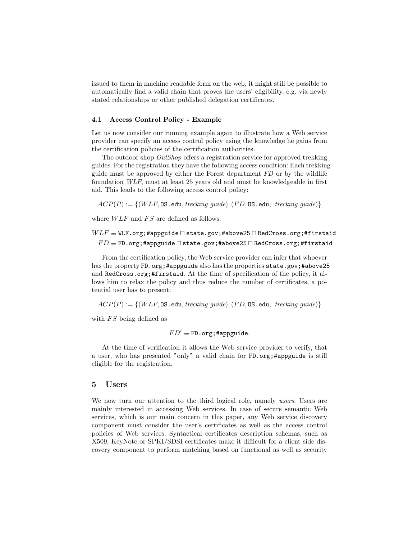issued to them in machine readable form on the web, it might still be possible to automatically find a valid chain that proves the users' eligibility, e.g. via newly stated relationships or other published delegation certificates.

#### 4.1 Access Control Policy - Example

Let us now consider our running example again to illustrate how a Web service provider can specify an access control policy using the knowledge he gains from the certification policies of the certification authorities.

The outdoor shop *OutShop* offers a registration service for approved trekking guides. For the registration they have the following access condition: Each trekking guide must be approved by either the Forest department FD or by the wildlife foundation WLF, must at least 25 years old and must be knowledgeable in first aid. This leads to the following access control policy:

 $ACP(P) := \{(WLF, \text{OS.edu}, \text{trecking guide}), (FD, \text{OS.edu}, \text{trecking guide})\}$ 

where  $WLF$  and  $FS$  are defined as follows:

 $WLF \equiv \texttt{WLF.org};\texttt{\#appguide} \sqcap \texttt{state.gov};\texttt{\#above25} \sqcap \texttt{RedCross.org};\texttt{\#firstaid}$  $FD \equiv FD$ .org;#appguide  $\Box$  state.gov;#above25  $\Box$  RedCross.org;#firstaid

From the certification policy, the Web service provider can infer that whoever has the property FD.org;#appguide also has the properties state.gov;#above25 and RedCross.org;#firstaid. At the time of specification of the policy, it allows him to relax the policy and thus reduce the number of certificates, a potential user has to present:

 $ACP(P) := \{(WLF, OS.\)$ edu, trecking guide),  $(FD, OS.\)$ edu, trecking guide)}

with  $FS$  being defined as

#### $FD' \equiv FD.org$ ;#appguide.

At the time of verification it allows the Web service provider to verify, that a user, who has presented "only" a valid chain for FD.org;#appguide is still eligible for the registration.

#### 5 Users

We now turn our attention to the third logical role, namely users. Users are mainly interested in accessing Web services. In case of secure semantic Web services, which is our main concern in this paper, any Web service discovery component must consider the user's certificates as well as the access control policies of Web services. Syntactical certificates description schemas, such as X509, KeyNote or SPKI/SDSI certificates make it difficult for a client side discovery component to perform matching based on functional as well as security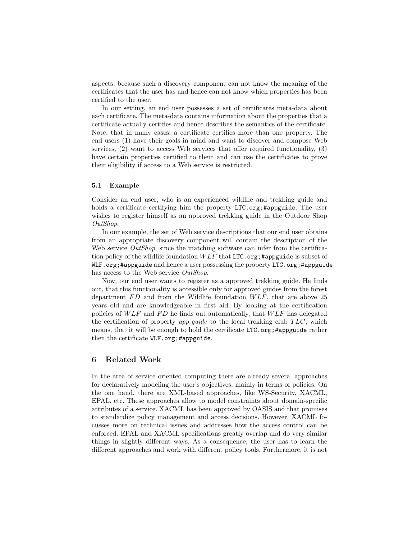aspects, because such a discovery component can not know the meaning of the certificates that the user has and hence can not know which properties has been certified to the user.

In our setting, an end user possesses a set of certificates meta-data about each certificate. The meta-data contains information about the properties that a certificate actually certifies and hence describes the semantics of the certificate. Note, that in many cases, a certificate certifies more than one property. The end users (1) have their goals in mind and want to discover and compose Web services,  $(2)$  want to access Web services that offer required functionality,  $(3)$ have certain properties certified to them and can use the certificates to prove their eligibility if access to a Web service is restricted.

#### 5.1 Example

Consider an end user, who is an experienced wildlife and trekking guide and holds a certificate certifying him the property LTC.org;#appguide. The user wishes to register himself as an approved trekking guide in the Outdoor Shop OutShop.

In our example, the set of Web service descriptions that our end user obtains from an appropriate discovery component will contain the description of the Web service  $OutShop$ , since the matching software can infer from the certification policy of the wildlife foundation  $WLF$  that LTC.org;#appguide is subset of WLF.org;#appguide and hence a user possessing the property LTC.org;#appguide has access to the Web service OutShop.

Now, our end user wants to register as a approved trekking guide. He finds out, that this functionality is accessible only for approved guides from the forest department  $FD$  and from the Wildlife foundation  $WLF$ , that are above 25 years old and are knowledgeable in first aid. By looking at the certification policies of  $WLF$  and  $FD$  he finds out automatically, that  $WLF$  has delegated the certification of property *app quide* to the local trekking club  $T LC$ , which means, that it will be enough to hold the certificate LTC.org;#appguide rather then the certificate WLF.org;#appguide.

## 6 Related Work

In the area of service oriented computing there are already several approaches for declaratively modeling the user's objectives; mainly in terms of policies. On the one hand, there are XML-based approaches, like WS-Security, XACML, EPAL, etc. These approaches allow to model constraints about domain-specific attributes of a service. XACML has been approved by OASIS and that promises to standardize policy management and access decisions. However, XACML focusses more on technical issues and addresses how the access control can be enforced. EPAL and XACML specifications greatly overlap and do very similar things in slightly different ways. As a consequence, the user has to learn the different approaches and work with different policy tools. Furthermore, it is not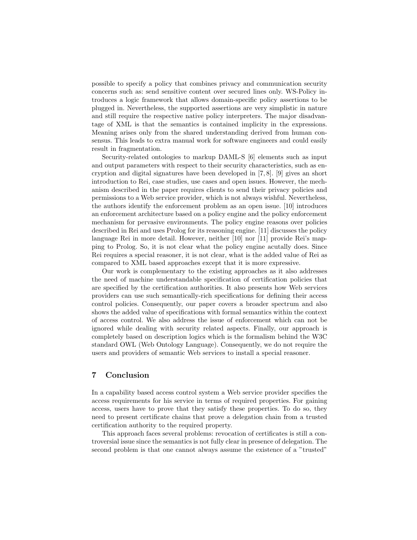possible to specify a policy that combines privacy and communication security concerns such as: send sensitive content over secured lines only. WS-Policy introduces a logic framework that allows domain-specific policy assertions to be plugged in. Nevertheless, the supported assertions are very simplistic in nature and still require the respective native policy interpreters. The major disadvantage of XML is that the semantics is contained implicity in the expressions. Meaning arises only from the shared understanding derived from human consensus. This leads to extra manual work for software engineers and could easily result in fragmentation.

Security-related ontologies to markup DAML-S [6] elements such as input and output parameters with respect to their security characteristics, such as encryption and digital signatures have been developed in [7, 8]. [9] gives an short introduction to Rei, case studies, use cases and open issues. However, the mechanism described in the paper requires clients to send their privacy policies and permissions to a Web service provider, which is not always wishful. Nevertheless, the authors identify the enforcement problem as an open issue. [10] introduces an enforcement architecture based on a policy engine and the policy enforcement mechanism for pervasive environments. The policy engine reasons over policies described in Rei and uses Prolog for its reasoning engine. [11] discusses the policy language Rei in more detail. However, neither [10] nor [11] provide Rei's mapping to Prolog. So, it is not clear what the policy engine acutally does. Since Rei requires a special reasoner, it is not clear, what is the added value of Rei as compared to XML based approaches except that it is more expressive.

Our work is complementary to the existing approaches as it also addresses the need of machine understandable specification of certification policies that are specified by the certification authorities. It also presents how Web services providers can use such semantically-rich specifications for defining their access control policies. Consequently, our paper covers a broader spectrum and also shows the added value of specifications with formal semantics within the context of access control. We also address the issue of enforcement which can not be ignored while dealing with security related aspects. Finally, our approach is completely based on description logics which is the formalism behind the W3C standard OWL (Web Ontology Language). Consequently, we do not require the users and providers of semantic Web services to install a special reasoner.

## 7 Conclusion

In a capability based access control system a Web service provider specifies the access requirements for his service in terms of required properties. For gaining access, users have to prove that they satisfy these properties. To do so, they need to present certificate chains that prove a delegation chain from a trusted certification authority to the required property.

This approach faces several problems: revocation of certificates is still a controversial issue since the semantics is not fully clear in presence of delegation. The second problem is that one cannot always assume the existence of a "trusted"